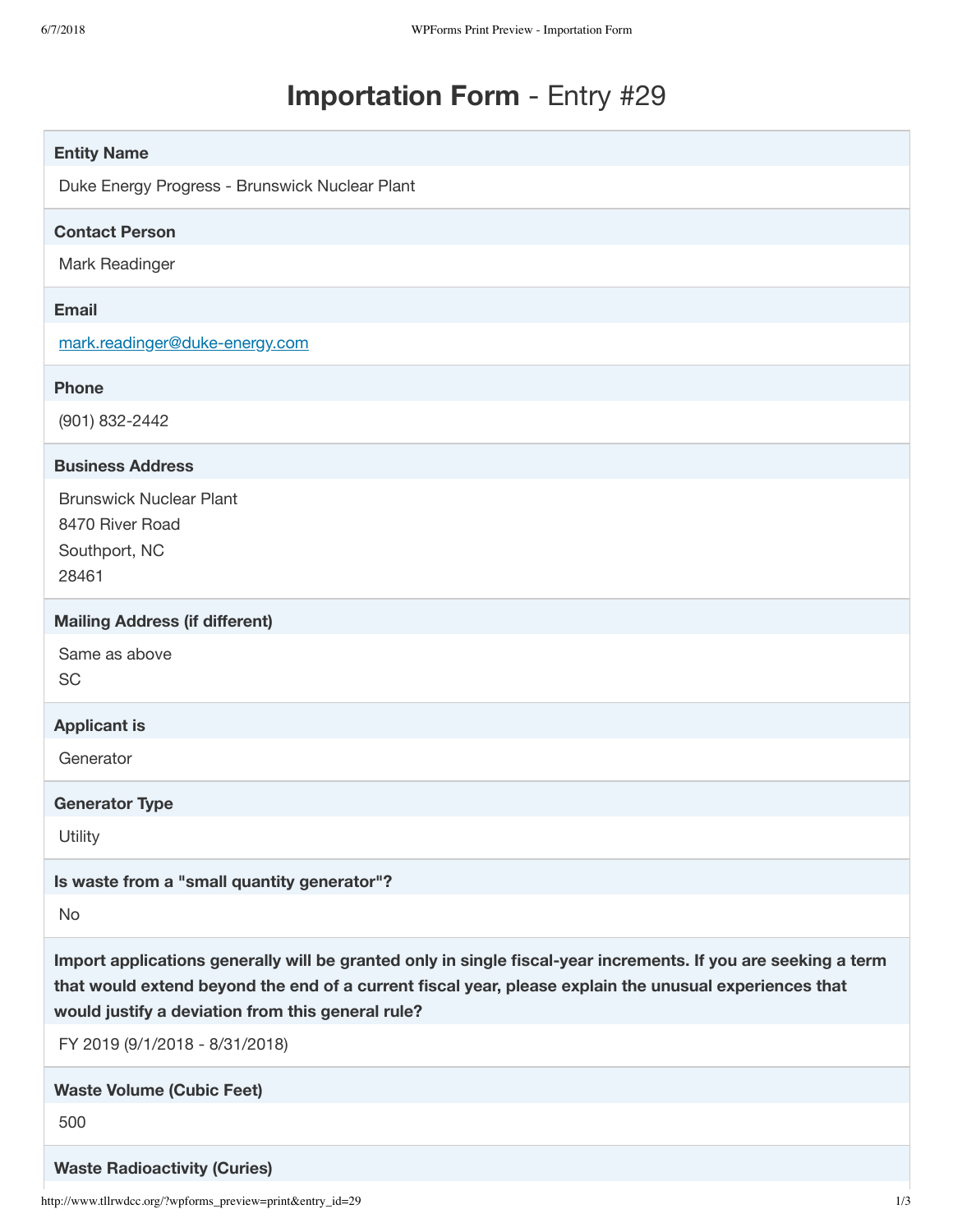## **Importation Form** - Entry #29

| <b>Entity Name</b><br>Duke Energy Progress - Brunswick Nuclear Plant                                                                                                                                                                                                          |
|-------------------------------------------------------------------------------------------------------------------------------------------------------------------------------------------------------------------------------------------------------------------------------|
| <b>Contact Person</b>                                                                                                                                                                                                                                                         |
| Mark Readinger                                                                                                                                                                                                                                                                |
| <b>Email</b>                                                                                                                                                                                                                                                                  |
| mark.readinger@duke-energy.com                                                                                                                                                                                                                                                |
| <b>Phone</b>                                                                                                                                                                                                                                                                  |
| (901) 832-2442                                                                                                                                                                                                                                                                |
| <b>Business Address</b>                                                                                                                                                                                                                                                       |
| <b>Brunswick Nuclear Plant</b>                                                                                                                                                                                                                                                |
| 8470 River Road<br>Southport, NC                                                                                                                                                                                                                                              |
| 28461                                                                                                                                                                                                                                                                         |
| <b>Mailing Address (if different)</b>                                                                                                                                                                                                                                         |
| Same as above                                                                                                                                                                                                                                                                 |
| SC                                                                                                                                                                                                                                                                            |
| <b>Applicant is</b>                                                                                                                                                                                                                                                           |
| Generator                                                                                                                                                                                                                                                                     |
| <b>Generator Type</b>                                                                                                                                                                                                                                                         |
| Utility                                                                                                                                                                                                                                                                       |
| Is waste from a "small quantity generator"?                                                                                                                                                                                                                                   |
| No                                                                                                                                                                                                                                                                            |
| Import applications generally will be granted only in single fiscal-year increments. If you are seeking a term<br>that would extend beyond the end of a current fiscal year, please explain the unusual experiences that<br>would justify a deviation from this general rule? |
| FY 2019 (9/1/2018 - 8/31/2018)                                                                                                                                                                                                                                                |
| <b>Waste Volume (Cubic Feet)</b>                                                                                                                                                                                                                                              |
| 500                                                                                                                                                                                                                                                                           |
| <b>Waste Radioactivity (Curies)</b>                                                                                                                                                                                                                                           |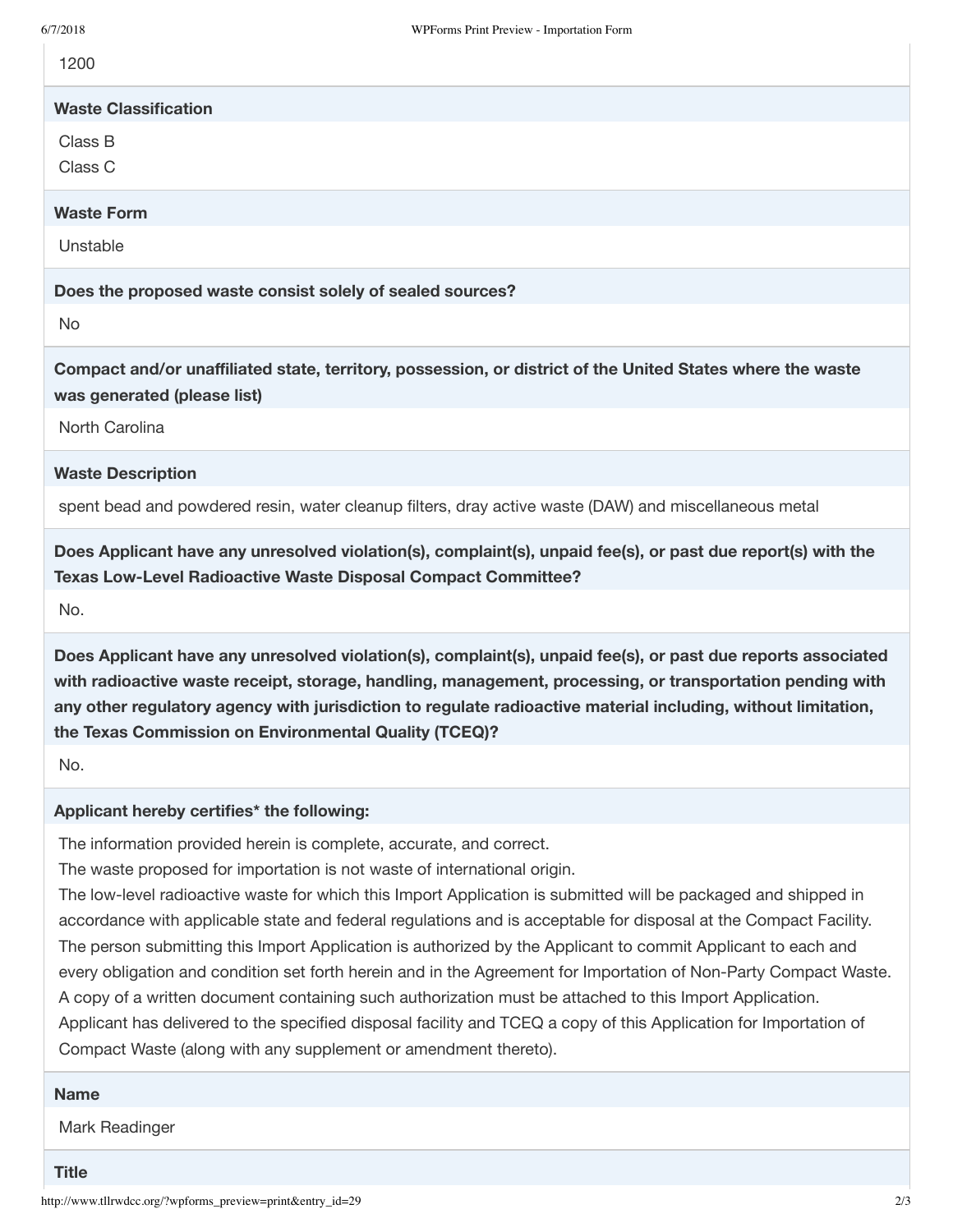1200

| Waste Classification |  |
|----------------------|--|

Class B

Class C

## **Waste Form**

Unstable

**Does the proposed waste consist solely of sealed sources?**

No

**Compact and/or unaffiliated state, territory, possession, or district of the United States where the waste was generated (please list)**

North Carolina

**Waste Description**

spent bead and powdered resin, water cleanup filters, dray active waste (DAW) and miscellaneous metal

**Does Applicant have any unresolved violation(s), complaint(s), unpaid fee(s), or past due report(s) with the Texas Low-Level Radioactive Waste Disposal Compact Committee?**

No.

**Does Applicant have any unresolved violation(s), complaint(s), unpaid fee(s), or past due reports associated with radioactive waste receipt, storage, handling, management, processing, or transportation pending with any other regulatory agency with jurisdiction to regulate radioactive material including, without limitation, the Texas Commission on Environmental Quality (TCEQ)?**

No.

## **Applicant hereby certifies\* the following:**

The information provided herein is complete, accurate, and correct.

The waste proposed for importation is not waste of international origin.

The low-level radioactive waste for which this Import Application is submitted will be packaged and shipped in accordance with applicable state and federal regulations and is acceptable for disposal at the Compact Facility. The person submitting this Import Application is authorized by the Applicant to commit Applicant to each and every obligation and condition set forth herein and in the Agreement for Importation of Non-Party Compact Waste. A copy of a written document containing such authorization must be attached to this Import Application. Applicant has delivered to the specified disposal facility and TCEQ a copy of this Application for Importation of Compact Waste (along with any supplement or amendment thereto).

## **Name**

Mark Readinger